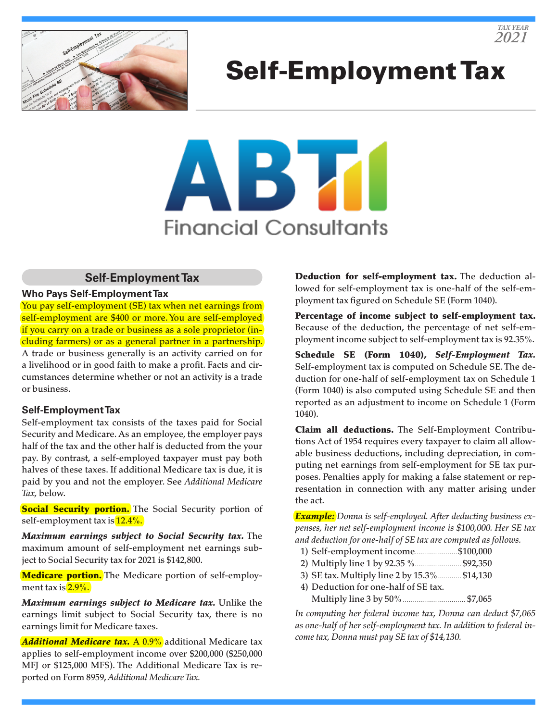

# Self-Employment Tax



## **Self-Employment Tax**

#### **Who Pays Self-Employment Tax**

You pay self-employment (SE) tax when net earnings from self-employment are \$400 or more. You are self-employed if you carry on a trade or business as a sole proprietor (including farmers) or as a general partner in a partnership. A trade or business generally is an activity carried on for a livelihood or in good faith to make a profit. Facts and circumstances determine whether or not an activity is a trade or business.

#### **Self-Employment Tax**

Self-employment tax consists of the taxes paid for Social Security and Medicare. As an employee, the employer pays half of the tax and the other half is deducted from the your pay. By contrast, a self-employed taxpayer must pay both halves of these taxes. If additional Medicare tax is due, it is paid by you and not the employer. See *Additional Medicare Tax,* below.

**Social Security portion.** The Social Security portion of self-employment tax is  $12.4\%$ .

*Maximum earnings subject to Social Security tax.* The maximum amount of self-employment net earnings subject to Social Security tax for 2021 is \$142,800.

Medicare portion. The Medicare portion of self-employment tax is  $2.9\%$ .

*Maximum earnings subject to Medicare tax.* Unlike the earnings limit subject to Social Security tax, there is no earnings limit for Medicare taxes.

*Additional Medicare tax. A 0.9%* additional Medicare tax applies to self-employment income over \$200,000 (\$250,000 MFJ or \$125,000 MFS). The Additional Medicare Tax is reported on Form 8959, *Additional Medicare Tax.*

Deduction for self-employment tax. The deduction allowed for self-employment tax is one-half of the self-employment tax figured on Schedule SE (Form 1040).

Percentage of income subject to self-employment tax. Because of the deduction, the percentage of net self-employment income subject to self-employment tax is 92.35%.

Schedule SE (Form 1040), *Self-Employment Tax.* Self-employment tax is computed on Schedule SE. The deduction for one-half of self-employment tax on Schedule 1 (Form 1040) is also computed using Schedule SE and then reported as an adjustment to income on Schedule 1 (Form 1040).

Claim all deductions. The Self-Employment Contributions Act of 1954 requires every taxpayer to claim all allowable business deductions, including depreciation, in computing net earnings from self-employment for SE tax purposes. Penalties apply for making a false statement or representation in connection with any matter arising under the act.

*Example: Donna is self-employed. After deducting business expenses, her net self-employment income is \$100,000. Her SE tax and deduction for one-half of SE tax are computed as follows.*

- 1) Self-employment income.....................\$100,000
- 2) Multiply line 1 by 92.35 %....................... \$92,350
- 3) SE tax. Multiply line 2 by 15.3%............ \$14,130
- 4) Deduction for one-half of SE tax. Multiply line 3 by 50% .................................. \$7,065

*In computing her federal income tax, Donna can deduct \$7,065 as one-half of her self-employment tax. In addition to federal income tax, Donna must pay SE tax of \$14,130.*